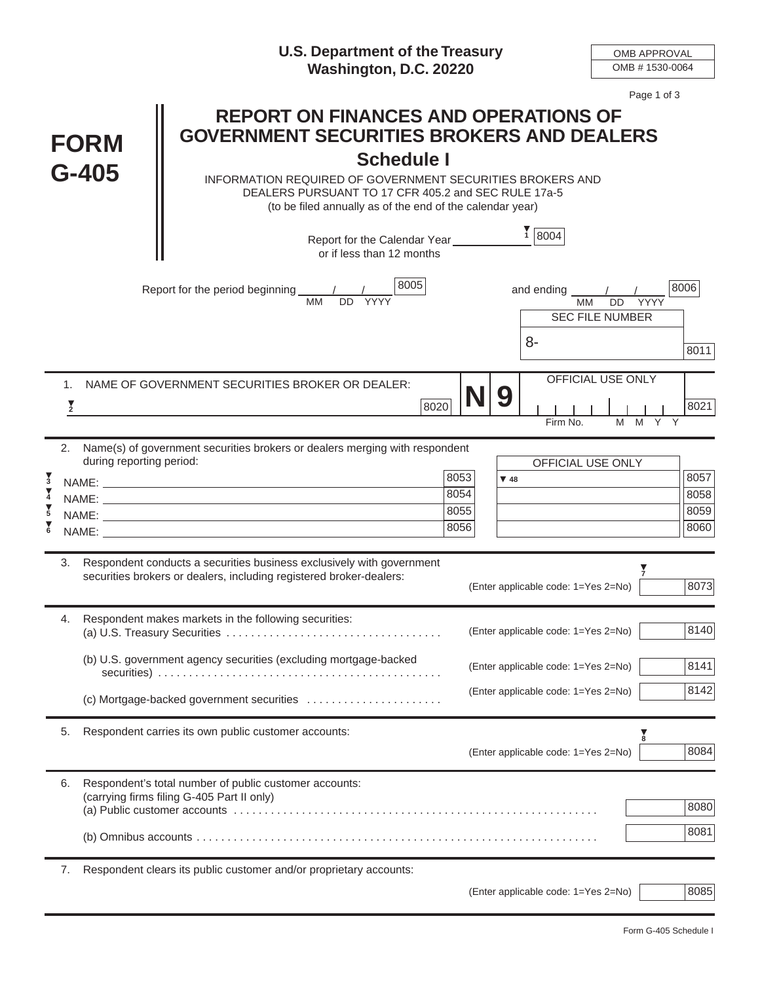|                                                  |                          |                                      | <b>U.S. Department of the Treasury</b><br>Washington, D.C. 20220                                                                                                                                 |                              | <b>OMB APPROVAL</b><br>OMB #1530-0064 |                                      |                              |  |  |
|--------------------------------------------------|--------------------------|--------------------------------------|--------------------------------------------------------------------------------------------------------------------------------------------------------------------------------------------------|------------------------------|---------------------------------------|--------------------------------------|------------------------------|--|--|
| <b>FORM</b><br>$G-405$                           |                          |                                      | Page 1 of 3<br><b>REPORT ON FINANCES AND OPERATIONS OF</b><br><b>GOVERNMENT SECURITIES BROKERS AND DEALERS</b><br><b>Schedule I</b><br>INFORMATION REQUIRED OF GOVERNMENT SECURITIES BROKERS AND |                              |                                       |                                      |                              |  |  |
|                                                  |                          |                                      | DEALERS PURSUANT TO 17 CFR 405.2 and SEC RULE 17a-5<br>(to be filed annually as of the end of the calendar year)                                                                                 |                              |                                       |                                      |                              |  |  |
|                                                  |                          |                                      | Report for the Calendar Year_______<br>or if less than 12 months                                                                                                                                 |                              | $\frac{1}{1}$ 8004                    |                                      |                              |  |  |
|                                                  |                          | DD<br>YYYY<br><b>SEC FILE NUMBER</b> | 8006                                                                                                                                                                                             |                              |                                       |                                      |                              |  |  |
|                                                  |                          |                                      |                                                                                                                                                                                                  |                              | 8-                                    |                                      | 8011                         |  |  |
|                                                  | $1_{-}$<br>$\frac{1}{2}$ |                                      | NAME OF GOVERNMENT SECURITIES BROKER OR DEALER:<br>8020                                                                                                                                          | $N$  9                       | Firm No.                              | <b>OFFICIAL USE ONLY</b><br>M Y<br>M | 8021                         |  |  |
|                                                  | 2.                       | during reporting period:             | Name(s) of government securities brokers or dealers merging with respondent                                                                                                                      |                              | <b>OFFICIAL USE ONLY</b>              |                                      |                              |  |  |
| $\frac{1}{3}$<br>$\frac{1}{4}$<br>$\overline{5}$ |                          |                                      | NAME: NAME:                                                                                                                                                                                      | 8053<br>8054<br>8055<br>8056 | $\Psi$ 48                             |                                      | 8057<br>8058<br>8059<br>8060 |  |  |
|                                                  |                          |                                      | 3. Respondent conducts a securities business exclusively with government<br>securities brokers or dealers, including registered broker-dealers:                                                  |                              | (Enter applicable code: 1=Yes 2=No)   |                                      | 8073                         |  |  |
|                                                  | 4.                       |                                      | Respondent makes markets in the following securities:                                                                                                                                            |                              | (Enter applicable code: 1=Yes 2=No)   |                                      | 8140                         |  |  |
|                                                  |                          |                                      | (b) U.S. government agency securities (excluding mortgage-backed                                                                                                                                 |                              | (Enter applicable code: 1=Yes 2=No)   |                                      | 8141                         |  |  |
|                                                  |                          |                                      | (c) Mortgage-backed government securities                                                                                                                                                        |                              | (Enter applicable code: 1=Yes 2=No)   |                                      | 8142                         |  |  |
|                                                  | 5.                       |                                      | Respondent carries its own public customer accounts:                                                                                                                                             |                              | (Enter applicable code: 1=Yes 2=No)   | $\frac{1}{8}$                        | 8084                         |  |  |
|                                                  | 6.                       |                                      | Respondent's total number of public customer accounts:<br>(carrying firms filing G-405 Part II only)                                                                                             |                              |                                       |                                      | 8080                         |  |  |
|                                                  |                          |                                      |                                                                                                                                                                                                  |                              |                                       |                                      | 8081                         |  |  |
|                                                  | 7.                       |                                      | Respondent clears its public customer and/or proprietary accounts:                                                                                                                               |                              | (Enter applicable code: 1=Yes 2=No)   |                                      | 8085                         |  |  |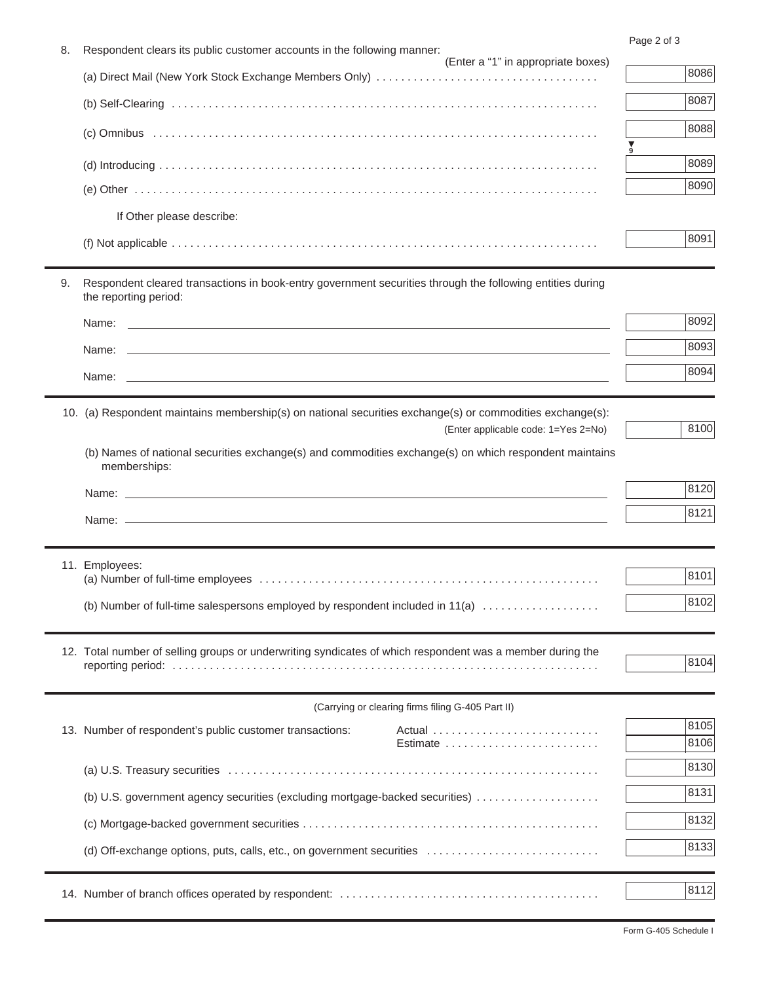Page 2 of 3

| 8. | i ayu 4 Ui u<br>Respondent clears its public customer accounts in the following manner:                                                          |      |  |  |  |
|----|--------------------------------------------------------------------------------------------------------------------------------------------------|------|--|--|--|
|    | (Enter a "1" in appropriate boxes)                                                                                                               | 8086 |  |  |  |
|    |                                                                                                                                                  | 8087 |  |  |  |
|    |                                                                                                                                                  | 8088 |  |  |  |
|    |                                                                                                                                                  |      |  |  |  |
|    |                                                                                                                                                  | 8089 |  |  |  |
|    |                                                                                                                                                  | 8090 |  |  |  |
|    | If Other please describe:                                                                                                                        |      |  |  |  |
|    |                                                                                                                                                  | 8091 |  |  |  |
| 9. | Respondent cleared transactions in book-entry government securities through the following entities during<br>the reporting period:               |      |  |  |  |
|    | Name:                                                                                                                                            | 8092 |  |  |  |
|    |                                                                                                                                                  | 8093 |  |  |  |
|    |                                                                                                                                                  | 8094 |  |  |  |
|    |                                                                                                                                                  |      |  |  |  |
|    | 10. (a) Respondent maintains membership(s) on national securities exchange(s) or commodities exchange(s):<br>(Enter applicable code: 1=Yes 2=No) | 8100 |  |  |  |
|    | (b) Names of national securities exchange(s) and commodities exchange(s) on which respondent maintains                                           |      |  |  |  |
|    | memberships:                                                                                                                                     |      |  |  |  |
|    |                                                                                                                                                  | 8120 |  |  |  |
|    |                                                                                                                                                  | 8121 |  |  |  |
|    |                                                                                                                                                  |      |  |  |  |
|    | 11. Employees:                                                                                                                                   | 8101 |  |  |  |
|    |                                                                                                                                                  | 8102 |  |  |  |
|    | (b) Number of full-time salespersons employed by respondent included in 11(a)                                                                    |      |  |  |  |
|    | 12. Total number of selling groups or underwriting syndicates of which respondent was a member during the                                        |      |  |  |  |
|    |                                                                                                                                                  | 8104 |  |  |  |
|    | (Carrying or clearing firms filing G-405 Part II)                                                                                                |      |  |  |  |
|    | 13. Number of respondent's public customer transactions:                                                                                         | 8105 |  |  |  |
|    | Estimate                                                                                                                                         | 8106 |  |  |  |
|    |                                                                                                                                                  | 8130 |  |  |  |
|    | (b) U.S. government agency securities (excluding mortgage-backed securities)                                                                     | 8131 |  |  |  |
|    |                                                                                                                                                  | 8132 |  |  |  |
|    | (d) Off-exchange options, puts, calls, etc., on government securities                                                                            | 8133 |  |  |  |
|    |                                                                                                                                                  |      |  |  |  |
|    |                                                                                                                                                  | 8112 |  |  |  |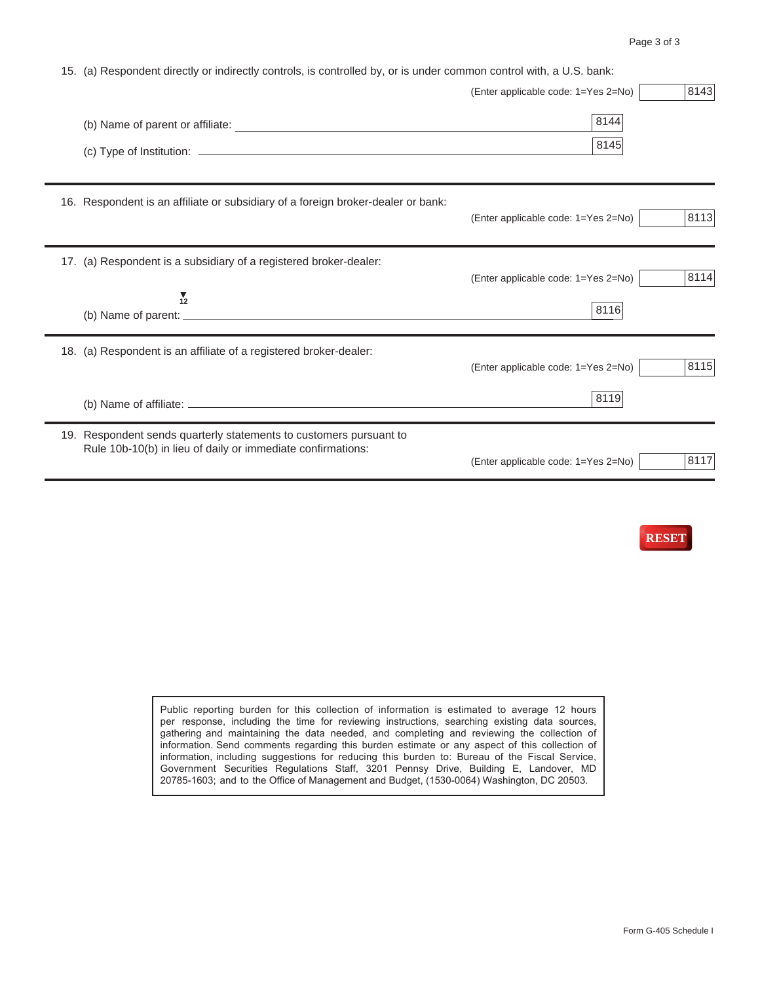| 15. (a) Respondent directly or indirectly controls, is controlled by, or is under common control with, a U.S. bank:               |                                             |      |  |  |  |  |
|-----------------------------------------------------------------------------------------------------------------------------------|---------------------------------------------|------|--|--|--|--|
|                                                                                                                                   | (Enter applicable code: 1=Yes 2=No)         | 8143 |  |  |  |  |
|                                                                                                                                   | 8144<br>8145                                |      |  |  |  |  |
| 16. Respondent is an affiliate or subsidiary of a foreign broker-dealer or bank:                                                  | (Enter applicable code: 1=Yes 2=No)         | 8113 |  |  |  |  |
| 17. (a) Respondent is a subsidiary of a registered broker-dealer:<br>$\frac{1}{12}$                                               | (Enter applicable code: 1=Yes 2=No)<br>8116 | 8114 |  |  |  |  |
| 18. (a) Respondent is an affiliate of a registered broker-dealer:                                                                 | (Enter applicable code: 1=Yes 2=No)<br>8119 | 8115 |  |  |  |  |
| 19. Respondent sends quarterly statements to customers pursuant to<br>Rule 10b-10(b) in lieu of daily or immediate confirmations: | (Enter applicable code: 1=Yes 2=No)         | 8117 |  |  |  |  |



Public reporting burden for this collection of information is estimated to average 12 hours per response, including the time for reviewing instructions, searching existing data sources, gathering and maintaining the data needed, and completing and reviewing the collection of information. Send comments regarding this burden estimate or any aspect of this collection of information, including suggestions for reducing this burden to: Bureau of the Fiscal Service, Government Securities Regulations Staff, 3201 Pennsy Drive, Building E, Landover, MD 20785-1603; and to the Office of Management and Budget, (1530-0064) Washington, DC 20503.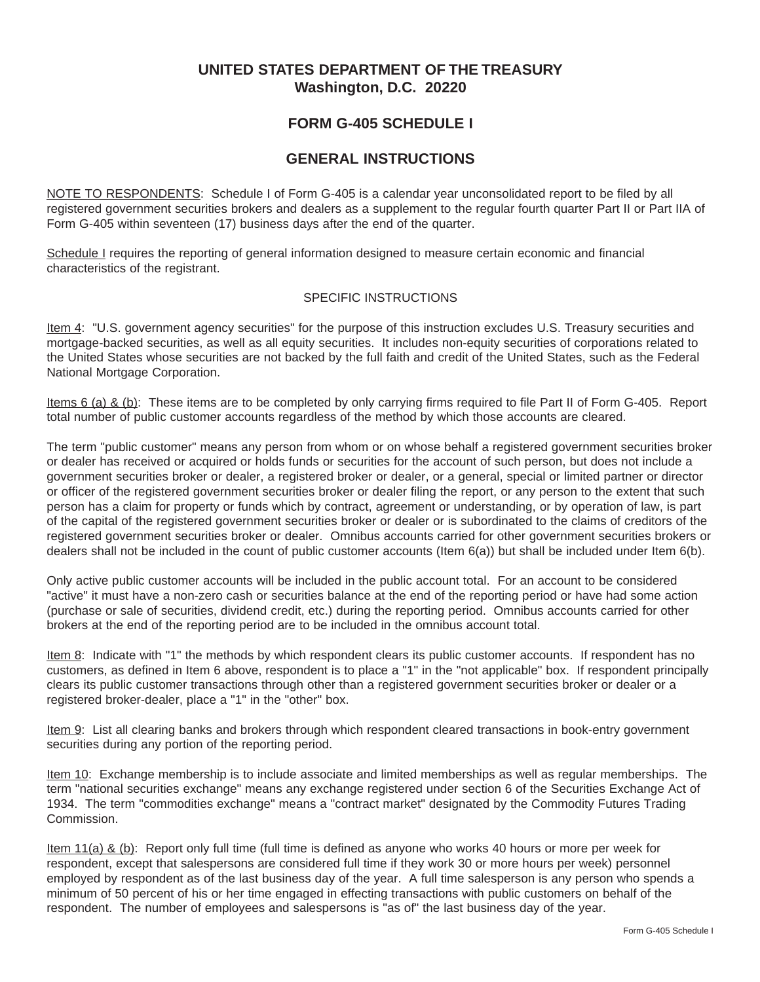## **UNITED STATES DEPARTMENT OF THE TREASURY Washington, D.C. 20220**

## **FORM G-405 SCHEDULE I**

## **GENERAL INSTRUCTIONS**

NOTE TO RESPONDENTS: Schedule I of Form G-405 is a calendar year unconsolidated report to be filed by all registered government securities brokers and dealers as a supplement to the regular fourth quarter Part II or Part IIA of Form G-405 within seventeen (17) business days after the end of the quarter.

Schedule I requires the reporting of general information designed to measure certain economic and financial characteristics of the registrant.

## SPECIFIC INSTRUCTIONS

Item 4: "U.S. government agency securities" for the purpose of this instruction excludes U.S. Treasury securities and mortgage-backed securities, as well as all equity securities. It includes non-equity securities of corporations related to the United States whose securities are not backed by the full faith and credit of the United States, such as the Federal National Mortgage Corporation.

Items 6 (a) & (b): These items are to be completed by only carrying firms required to file Part II of Form G-405. Report total number of public customer accounts regardless of the method by which those accounts are cleared.

The term "public customer" means any person from whom or on whose behalf a registered government securities broker or dealer has received or acquired or holds funds or securities for the account of such person, but does not include a government securities broker or dealer, a registered broker or dealer, or a general, special or limited partner or director or officer of the registered government securities broker or dealer filing the report, or any person to the extent that such person has a claim for property or funds which by contract, agreement or understanding, or by operation of law, is part of the capital of the registered government securities broker or dealer or is subordinated to the claims of creditors of the registered government securities broker or dealer. Omnibus accounts carried for other government securities brokers or dealers shall not be included in the count of public customer accounts (Item 6(a)) but shall be included under Item 6(b).

Only active public customer accounts will be included in the public account total. For an account to be considered "active" it must have a non-zero cash or securities balance at the end of the reporting period or have had some action (purchase or sale of securities, dividend credit, etc.) during the reporting period. Omnibus accounts carried for other brokers at the end of the reporting period are to be included in the omnibus account total.

Item 8: Indicate with "1" the methods by which respondent clears its public customer accounts. If respondent has no customers, as defined in Item 6 above, respondent is to place a "1" in the "not applicable" box. If respondent principally clears its public customer transactions through other than a registered government securities broker or dealer or a registered broker-dealer, place a "1" in the "other" box.

Item 9: List all clearing banks and brokers through which respondent cleared transactions in book-entry government securities during any portion of the reporting period.

Item 10: Exchange membership is to include associate and limited memberships as well as regular memberships. The term "national securities exchange" means any exchange registered under section 6 of the Securities Exchange Act of 1934. The term "commodities exchange" means a "contract market" designated by the Commodity Futures Trading Commission.

Item 11(a) & (b): Report only full time (full time is defined as anyone who works 40 hours or more per week for respondent, except that salespersons are considered full time if they work 30 or more hours per week) personnel employed by respondent as of the last business day of the year. A full time salesperson is any person who spends a minimum of 50 percent of his or her time engaged in effecting transactions with public customers on behalf of the respondent. The number of employees and salespersons is "as of" the last business day of the year.